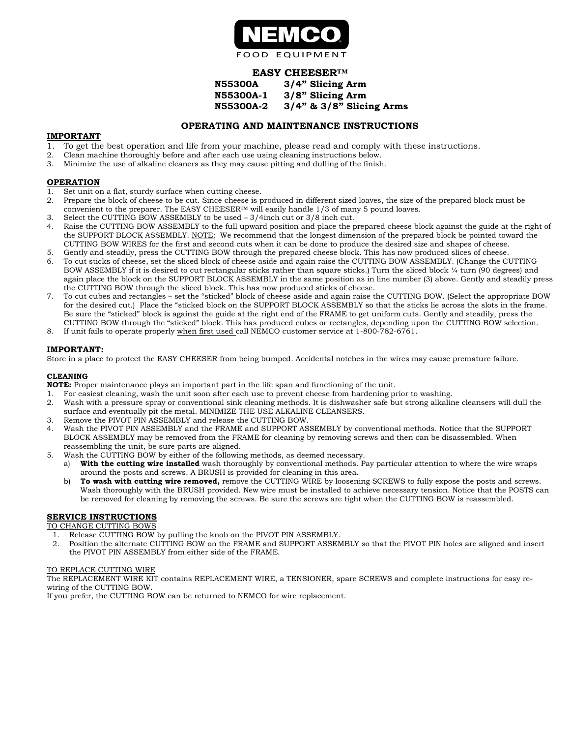

# EASY CHEESER™

| <b>N55300A</b>   | 3/4" Slicing Arm               |
|------------------|--------------------------------|
| <b>N55300A-1</b> | 3/8" Slicing Arm               |
| <b>N55300A-2</b> | $3/4$ " & $3/8$ " Slicing Arms |

## OPERATING AND MAINTENANCE INSTRUCTIONS

#### IMPORTANT

- 1. To get the best operation and life from your machine, please read and comply with these instructions.
- 2. Clean machine thoroughly before and after each use using cleaning instructions below.
- 3. Minimize the use of alkaline cleaners as they may cause pitting and dulling of the finish.

#### OPERATION

- 1. Set unit on a flat, sturdy surface when cutting cheese.
- 2. Prepare the block of cheese to be cut. Since cheese is produced in different sized loaves, the size of the prepared block must be convenient to the preparer. The EASY CHEESER™ will easily handle 1/3 of many 5 pound loaves.
- 3. Select the CUTTING BOW ASSEMBLY to be used 3/4inch cut or 3/8 inch cut.
- 4. Raise the CUTTING BOW ASSEMBLY to the full upward position and place the prepared cheese block against the guide at the right of the SUPPORT BLOCK ASSEMBLY. NOTE: We recommend that the longest dimension of the prepared block be pointed toward the CUTTING BOW WIRES for the first and second cuts when it can be done to produce the desired size and shapes of cheese.
- 5. Gently and steadily, press the CUTTING BOW through the prepared cheese block. This has now produced slices of cheese. 6. To cut sticks of cheese, set the sliced block of cheese aside and again raise the CUTTING BOW ASSEMBLY. (Change the CUTTING BOW ASSEMBLY if it is desired to cut rectangular sticks rather than square sticks.) Turn the sliced block ¼ turn (90 degrees) and again place the block on the SUPPORT BLOCK ASSEMBLY in the same position as in line number (3) above. Gently and steadily press the CUTTING BOW through the sliced block. This has now produced sticks of cheese.
- 7. To cut cubes and rectangles set the "sticked" block of cheese aside and again raise the CUTTING BOW. (Select the appropriate BOW for the desired cut.) Place the "sticked block on the SUPPORT BLOCK ASSEMBLY so that the sticks lie across the slots in the frame. Be sure the "sticked" block is against the guide at the right end of the FRAME to get uniform cuts. Gently and steadily, press the CUTTING BOW through the "sticked" block. This has produced cubes or rectangles, depending upon the CUTTING BOW selection.
- 8. If unit fails to operate properly when first used call NEMCO customer service at 1-800-782-6761.

### IMPORTANT:

Store in a place to protect the EASY CHEESER from being bumped. Accidental notches in the wires may cause premature failure.

#### CLEANING

NOTE: Proper maintenance plays an important part in the life span and functioning of the unit.

- 1. For easiest cleaning, wash the unit soon after each use to prevent cheese from hardening prior to washing.
- 2. Wash with a pressure spray or conventional sink cleaning methods. It is dishwasher safe but strong alkaline cleansers will dull the surface and eventually pit the metal. MINIMIZE THE USE ALKALINE CLEANSERS.
- 3. Remove the PIVOT PIN ASSEMBLY and release the CUTTING BOW.
- 4. Wash the PIVOT PIN ASSEMBLY and the FRAME and SUPPORT ASSEMBLY by conventional methods. Notice that the SUPPORT BLOCK ASSEMBLY may be removed from the FRAME for cleaning by removing screws and then can be disassembled. When reassembling the unit, be sure parts are aligned.
- 5. Wash the CUTTING BOW by either of the following methods, as deemed necessary.
	- a) With the cutting wire installed wash thoroughly by conventional methods. Pay particular attention to where the wire wraps around the posts and screws. A BRUSH is provided for cleaning in this area.
	- b) To wash with cutting wire removed, remove the CUTTING WIRE by loosening SCREWS to fully expose the posts and screws. Wash thoroughly with the BRUSH provided. New wire must be installed to achieve necessary tension. Notice that the POSTS can be removed for cleaning by removing the screws. Be sure the screws are tight when the CUTTING BOW is reassembled.

## SERVICE INSTRUCTIONS

TO CHANGE CUTTING BOWS

- 1. Release CUTTING BOW by pulling the knob on the PIVOT PIN ASSEMBLY.
- 2. Position the alternate CUTTING BOW on the FRAME and SUPPORT ASSEMBLY so that the PIVOT PIN holes are aligned and insert the PIVOT PIN ASSEMBLY from either side of the FRAME.

#### TO REPLACE CUTTING WIRE

The REPLACEMENT WIRE KIT contains REPLACEMENT WIRE, a TENSIONER, spare SCREWS and complete instructions for easy rewiring of the CUTTING BOW.

If you prefer, the CUTTING BOW can be returned to NEMCO for wire replacement.